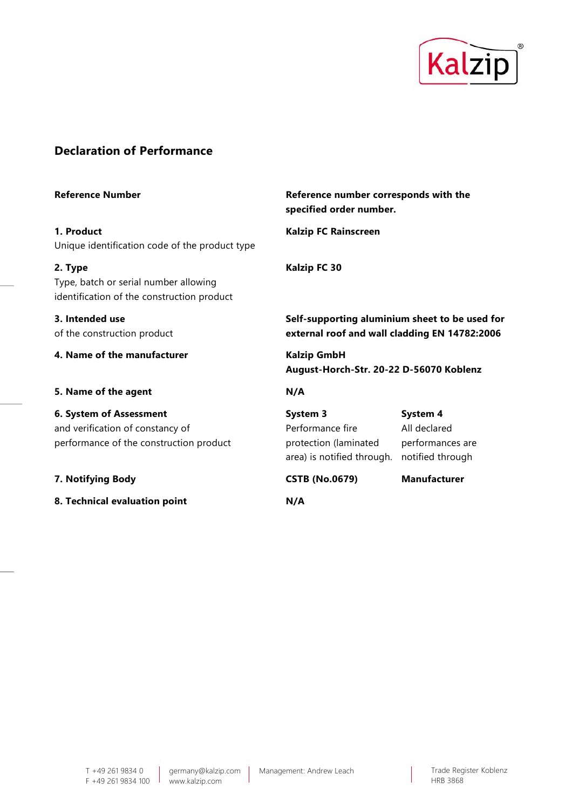

## **Declaration of Performance**

| <b>Reference Number</b>                                                                                | Reference number corresponds with the<br>specified order number.                                |                                                                  |
|--------------------------------------------------------------------------------------------------------|-------------------------------------------------------------------------------------------------|------------------------------------------------------------------|
| 1. Product<br>Unique identification code of the product type                                           | <b>Kalzip FC Rainscreen</b>                                                                     |                                                                  |
| 2. Type<br>Type, batch or serial number allowing<br>identification of the construction product         | Kalzip FC 30                                                                                    |                                                                  |
| 3. Intended use<br>of the construction product                                                         | Self-supporting aluminium sheet to be used for<br>external roof and wall cladding EN 14782:2006 |                                                                  |
| 4. Name of the manufacturer                                                                            | <b>Kalzip GmbH</b><br>August-Horch-Str. 20-22 D-56070 Koblenz                                   |                                                                  |
| 5. Name of the agent                                                                                   | N/A                                                                                             |                                                                  |
| 6. System of Assessment<br>and verification of constancy of<br>performance of the construction product | System 3<br>Performance fire<br>protection (laminated<br>area) is notified through.             | System 4<br>All declared<br>performances are<br>notified through |
| 7. Notifying Body                                                                                      | <b>CSTB (No.0679)</b>                                                                           | <b>Manufacturer</b>                                              |
| 8. Technical evaluation point                                                                          | N/A                                                                                             |                                                                  |